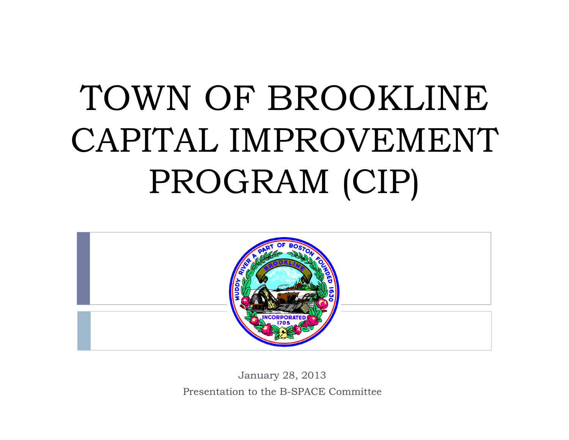# TOWN OF BROOKLINECAPITAL IMPROVEMENT PROGRAM (CIP)



January 28, 2013 Presentation to the B-SPACE Committee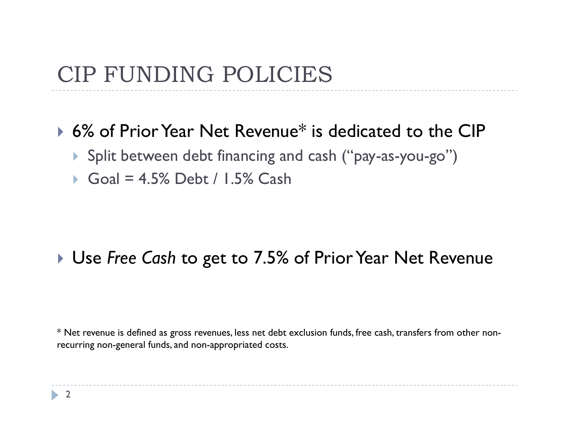#### CIP FUNDING POLICIES

#### ▶ 6% of Prior Year Net Revenue\* is dedicated to the CIP

- Split between debt financing and cash ("pay-as-you-go")
- Goal = 4.5% Debt / 1.5% Cash

#### Use *Free Cash* to get to 7.5% of Prior Year Net Revenue

\* Net revenue is defined as gross revenues, less net debt exclusion funds, free cash, transfers from other nonrecurring non-general funds, and non-appropriated costs.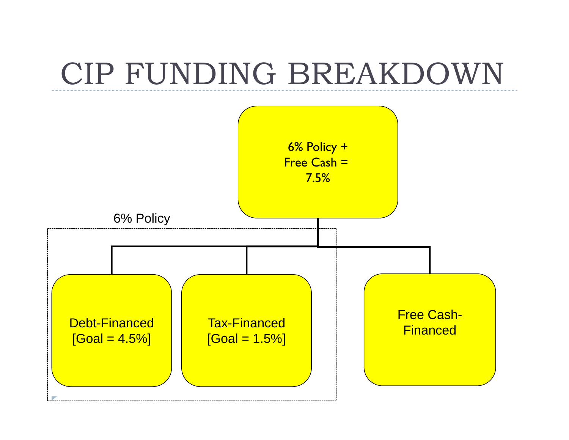# CIP FUNDING BREAKDOWN

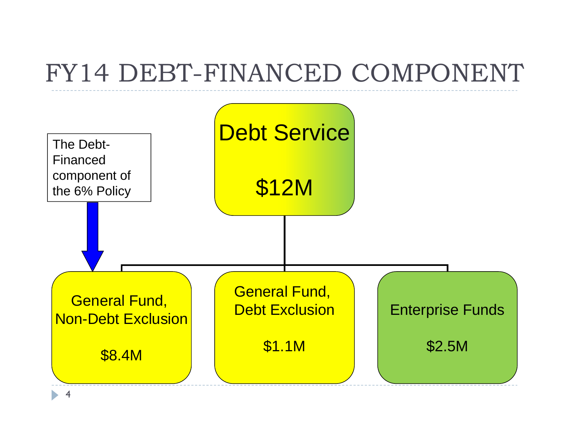# FY14 DEBT-FINANCED COMPONENT

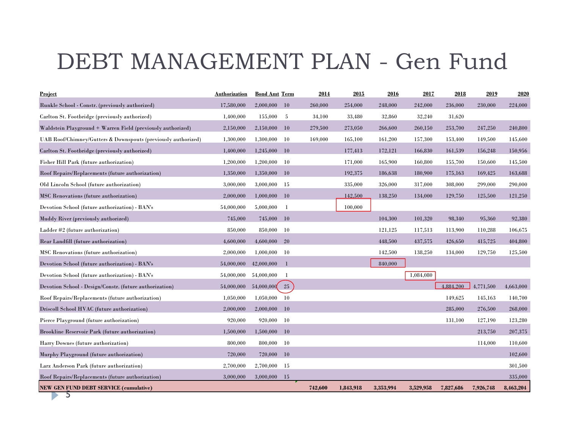### DEBT MANAGEMENT PLAN - Gen Fund

| <b>Project</b>                                                | <b>Authorization</b> | <b>Bond Amt Term</b> |           | 2014    | 2015      | 2016      | 2017      | 2018      | 2019      | 2020      |
|---------------------------------------------------------------|----------------------|----------------------|-----------|---------|-----------|-----------|-----------|-----------|-----------|-----------|
| Runkle School - Constr. (previously authorized)               | 17,580,000           | 2,000,000            | 10        | 260,000 | 254,000   | 248,000   | 242,000   | 236,000   | 230,000   | 224,000   |
| Carlton St. Footbridge (previously authorized)                | 1,400,000            | 155,000              | -5        | 34,100  | 33,480    | 32,860    | 32,240    | 31,620    |           |           |
| Waldstein Playground + Warren Field (previously authorized)   | 2,150,000            | 2,150,000            | 10        | 279,500 | 273,050   | 266,600   | 260,150   | 253,700   | 247,250   | 240,800   |
| UAB Roof/Chimney/Gutters & Downspouts (previously authorized) | 1,300,000            | 1,300,000            | 10        | 169,000 | 165,100   | 161,200   | 157,300   | 153,400   | 149,500   | 145,600   |
| Carlton St. Footbridge (previously authorized)                | 1,400,000            | 1,245,000            | 10        |         | 177,413   | 172,121   | 166,830   | 161,539   | 156,248   | 150,956   |
| Fisher Hill Park (future authorization)                       | 1,200,000            | 1,200,000            | 10        |         | 171,000   | 165,900   | 160,800   | 155,700   | 150,600   | 145,500   |
| Roof Repairs/Replacements (future authorization)              | 1,350,000            | 1,350,000            | 10        |         | 192,375   | 186,638   | 180,900   | 175,163   | 169,425   | 163,688   |
| Old Lincoln School (future authorization)                     | 3,000,000            | 3,000,000            | -15       |         | 335,000   | 326,000   | 317,000   | 308,000   | 299,000   | 290,000   |
| MSC Renovations (future authorization)                        | 2,000,000            | 1,000,000            | 10        |         | 142,500   | 138,250   | 134,000   | 129,750   | 125,500   | 121,250   |
| Devotion School (future authorization) - BAN's                | 54,000,000           | 5,000,000            | -1        |         | 100,000   |           |           |           |           |           |
| Muddy River (previously authorized)                           | 745,000              | 745,000              | 10        |         |           | 104,300   | 101,320   | 98.340    | 95,360    | 92,380    |
| Ladder #2 (future authorization)                              | 850,000              | 850,000              | 10        |         |           | 121,125   | 117,513   | 113,900   | 110,288   | 106,675   |
| Rear Landfill (future authorization)                          | 4.600.000            | 4.600.000            | 20        |         |           | 448.500   | 437,575   | 426,650   | 415,725   | 404,800   |
| MSC Renovations (future authorization)                        | 2,000,000            | 1,000,000            | -10       |         |           | 142,500   | 138,250   | 134,000   | 129,750   | 125,500   |
| Devotion School (future authorization) - BAN's                | 54,000,000           | 42,000,000           | -1        |         |           | 840,000   |           |           |           |           |
| Devotion School (future authorization) - BAN's                | 54,000,000           | 54,000,000           | - 1       |         |           |           | 1,084,080 |           |           |           |
| Devotion School - Design/Constr. (future authorization)       | 54,000,000           | 54,000,000           | 25        |         |           |           |           | 4.884.200 | 4,771,500 | 4,663,000 |
| Roof Repairs/Replacements (future authorization)              | 1,050,000            | 1,050,000            | 10        |         |           |           |           | 149,625   | 145,163   | 140,700   |
| Driscoll School HVAC (future authorization)                   | 2,000,000            | 2,000,000            | 10        |         |           |           |           | 285,000   | 276,500   | 268,000   |
| Pierce Playground (future authorization)                      | 920.000              | 920,000              | 10        |         |           |           |           | 131,100   | 127.190   | 123,280   |
| Brookline Reservoir Park (future authorization)               | 1,500,000            | 1,500,000            | 10        |         |           |           |           |           | 213,750   | 207,375   |
| Harry Downes (future authorization)                           | 800,000              | 800,000              | 10        |         |           |           |           |           | 114,000   | 110,600   |
| Murphy Playground (future authorization)                      | 720,000              | 720,000              | <b>10</b> |         |           |           |           |           |           | 102,600   |
| Larz Anderson Park (future authorization)                     | 2,700,000            | 2,700,000            | -15       |         |           |           |           |           |           | 301,500   |
| Roof Repairs/Replacements (future authorization)              | 3,000,000            | 3,000,000            | -15       |         |           |           |           |           |           | 335,000   |
| <b>NEW GEN FUND DEBT SERVICE (cumulative)</b>                 |                      |                      |           | 742,600 | 1,843,918 | 3,353,994 | 3,529,958 | 7,827,686 | 7,926,748 | 8,463,204 |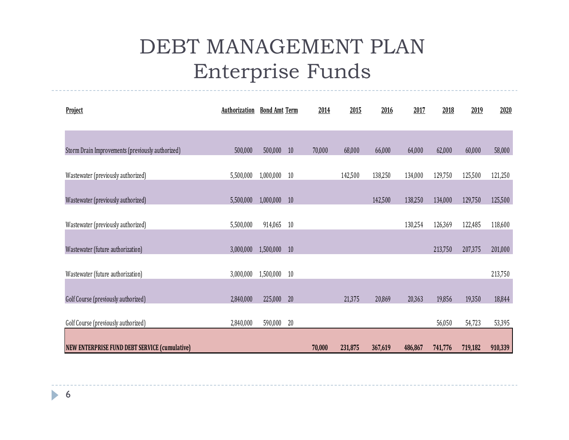#### DEBT MANAGEMENT PLANEnterprise Funds

| Project                                          | Authorization | <b>Bond Amt Term</b> |    | 2014   | 2015    | 2016    | 2017    | 2018    | 2019    | 2020    |
|--------------------------------------------------|---------------|----------------------|----|--------|---------|---------|---------|---------|---------|---------|
|                                                  |               |                      |    |        |         |         |         |         |         |         |
| Storm Drain Improvements (previously authorized) | 500,000       | 500,000              | 10 | 70,000 | 68,000  | 66,000  | 64,000  | 62,000  | 60,000  | 58,000  |
| Wastewater (previously authorized)               | 5,500,000     | 1,000,000            | 10 |        | 142,500 | 138,250 | 134,000 | 129,750 | 125,500 | 121,250 |
| Wastewater (previously authorized)               | 5,500,000     | 1,000,000 10         |    |        |         | 142,500 | 138,250 | 134,000 | 129,750 | 125,500 |
| Wastewater (previously authorized)               | 5,500,000     | 914,065              | 10 |        |         |         | 130,254 | 126,369 | 122,485 | 118,600 |
| Wastewater (future authorization)                | 3,000,000     | 1,500,000            | 10 |        |         |         |         | 213,750 | 207,375 | 201,000 |
| Wastewater (future authorization)                | 3,000,000     | 1,500,000            | 10 |        |         |         |         |         |         | 213,750 |
|                                                  |               |                      |    |        |         |         |         |         |         |         |
| Golf Course (previously authorized)              | 2,840,000     | 225,000              | 20 |        | 21,375  | 20,869  | 20,363  | 19,856  | 19,350  | 18,844  |
| Golf Course (previously authorized)              | 2,840,000     | 590,000              | 20 |        |         |         |         | 56,050  | 54,723  | 53,395  |
| NEW ENTERPRISE FUND DEBT SERVICE (cumulative)    |               |                      |    | 70,000 | 231,875 | 367,619 | 486,867 | 741,776 | 719,182 | 910,339 |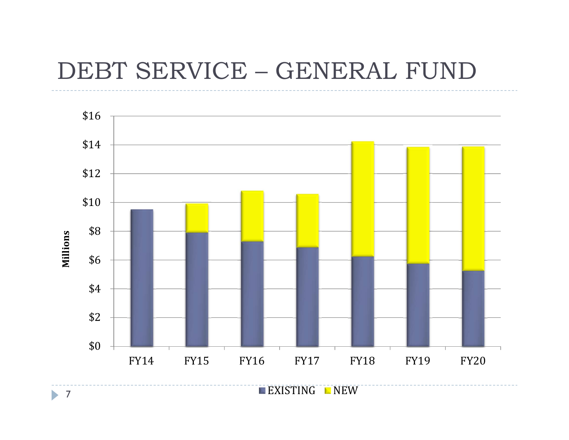#### DEBT SERVICE – GENERAL FUND



7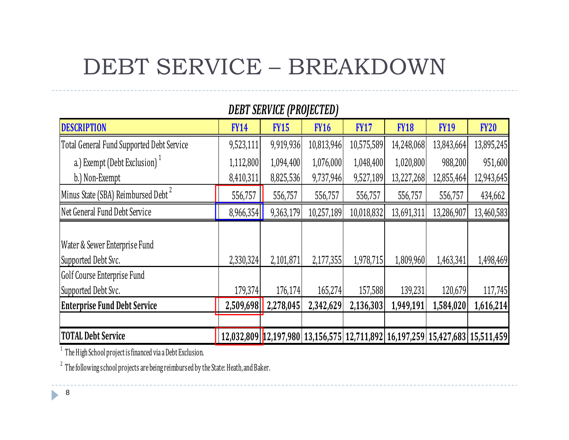## DEBT SERVICE – BREAKDOWN

| DEBI SERVICE (PROJECI ED)                            |                                                                                      |             |             |             |             |             |             |  |  |  |  |  |
|------------------------------------------------------|--------------------------------------------------------------------------------------|-------------|-------------|-------------|-------------|-------------|-------------|--|--|--|--|--|
| <b>DESCRIPTION</b>                                   | <b>FY14</b>                                                                          | <b>FY15</b> | <b>FY16</b> | <b>FY17</b> | <b>FY18</b> | <b>FY19</b> | <b>FY20</b> |  |  |  |  |  |
| Total General Fund Supported Debt Service            | 9,523,111                                                                            | 9,919,936   | 10,813,946  | 10,575,589  | 14,248,068  | 13,843,664  | 13,895,245  |  |  |  |  |  |
| a.) Exempt (Debt Exclusion) <sup>1</sup>             | 1,112,800                                                                            | 1,094,400   | 1,076,000   | 1,048,400   | 1,020,800   | 988,200     | 951,600     |  |  |  |  |  |
| b.) Non-Exempt                                       | 8,410,311                                                                            | 8,825,536   | 9,737,946   | 9,527,189   | 13,227,268  | 12,855,464  | 12,943,645  |  |  |  |  |  |
| Minus State (SBA) Reimbursed Debt <sup>2</sup>       | 556,757                                                                              | 556,757     | 556,757     | 556,757     | 556,757     | 556,757     | 434,662     |  |  |  |  |  |
| Net General Fund Debt Service                        | 8,966,354                                                                            | 9,363,179   | 10,257,189  | 10,018,832  | 13,691,311  | 13,286,907  | 13,460,583  |  |  |  |  |  |
| Water & Sewer Enterprise Fund<br>Supported Debt Svc. | 2,330,324                                                                            | 2,101,871   | 2,177,355   | 1,978,715   | 1,809,960   | 1,463,341   | 1,498,469   |  |  |  |  |  |
| <b>Golf Course Enterprise Fund</b>                   |                                                                                      |             |             |             |             |             |             |  |  |  |  |  |
| Supported Debt Svc.                                  | 179,374                                                                              | 176,174     | 165,274     | 157,588     | 139,231     | 120,679     | 117,745     |  |  |  |  |  |
| <b>Enterprise Fund Debt Service</b>                  | 2,509,698                                                                            | 2,278,045   | 2,342,629   | 2,136,303   | 1,949,191   | 1,584,020   | 1,616,214   |  |  |  |  |  |
| <b>TOTAL Debt Service</b>                            | $ 12,032,809 $ $ 12,197,980 13,156,575 12,711,892 16,197,259 15,427,683 15,511,459 $ |             |             |             |             |             |             |  |  |  |  |  |

*DEBT SERVICE (PROJECTED)*

 $^{\rm 1}$  The High School project is financed via a Debt Exclusion.

 $2^2$  The following school projects are being reimbursed by the State: Heath, and Baker.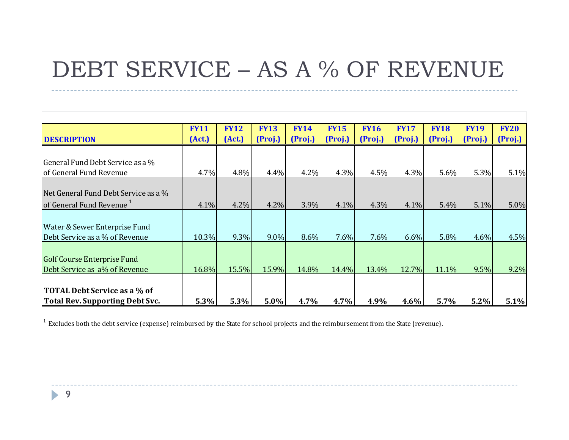### DEBT SERVICE – AS A % OF REVENUE

|                                      | <b>FY11</b> | <b>FY12</b> | <b>FY13</b> | <b>FY14</b> | <b>FY15</b> | <b>FY16</b> | <b>FY17</b> | <b>FY18</b> | <b>FY19</b> | <b>FY20</b> |
|--------------------------------------|-------------|-------------|-------------|-------------|-------------|-------------|-------------|-------------|-------------|-------------|
| <b>DESCRIPTION</b>                   | (Act.)      | (Act.)      | (Proj.)     | (Proj.)     | (Proj.)     | (Proj.)     | (Proj.)     | (Proj.)     | (Proj.)     | (Proj.)     |
|                                      |             |             |             |             |             |             |             |             |             |             |
| General Fund Debt Service as a %     |             |             |             |             |             |             |             |             |             |             |
| of General Fund Revenue              | 4.7%        | 4.8%        | 4.4%        | 4.2%        | 4.3%        | 4.5%        | 4.3%        | 5.6%        | 5.3%        | 5.1%        |
|                                      |             |             |             |             |             |             |             |             |             |             |
| Net General Fund Debt Service as a % |             |             |             |             |             |             |             |             |             |             |
| of General Fund Revenue <sup>1</sup> | 4.1%        | 4.2%        | 4.2%        | 3.9%        | 4.1%        | 4.3%        | 4.1%        | 5.4%        | 5.1%        | 5.0%        |
|                                      |             |             |             |             |             |             |             |             |             |             |
| Water & Sewer Enterprise Fund        |             |             |             |             |             |             |             |             |             |             |
| Debt Service as a % of Revenue       | 10.3%       | $9.3\%$     | $9.0\%$     | 8.6%        | $7.6\%$     | 7.6%        | $6.6\%$     | 5.8%        | 4.6%        | 4.5%        |
|                                      |             |             |             |             |             |             |             |             |             |             |
| <b>Golf Course Enterprise Fund</b>   |             |             |             |             |             |             |             |             |             |             |
| Debt Service as a% of Revenue        | 16.8%       | 15.5%       | 15.9%       | 14.8%       | 14.4%       | 13.4%       | 12.7%       | 11.1%       | 9.5%        | 9.2%        |
|                                      |             |             |             |             |             |             |             |             |             |             |
| TOTAL Debt Service as a % of         |             |             |             |             |             |             |             |             |             |             |
| Total Rev. Supporting Debt Svc.      | 5.3%        | 5.3%        | $5.0\%$     | 4.7%        | 4.7%        | 4.9%        | $4.6\%$     | 5.7%        | 5.2%        | 5.1%        |

 $^1$  Excludes both the debt service (expense) reimbursed by the State for school projects and the reimbursement from the State (revenue).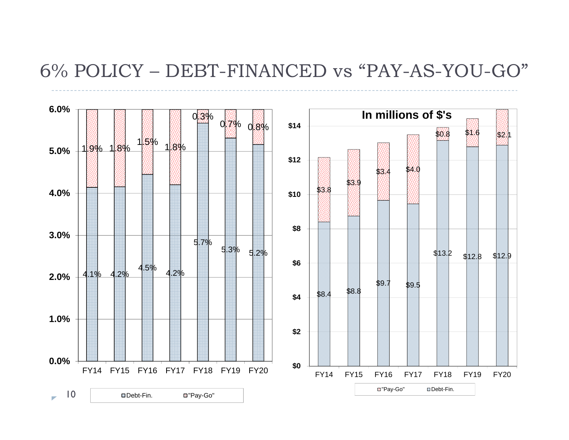#### 6% POLICY – DEBT-FINANCED vs "PAY-AS-YOU-GO"

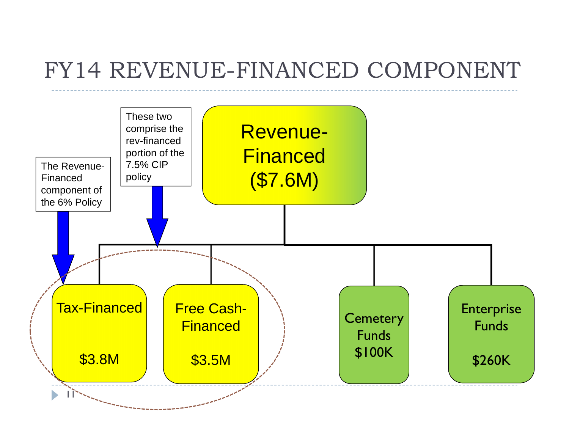#### FY14 REVENUE-FINANCED COMPONENT

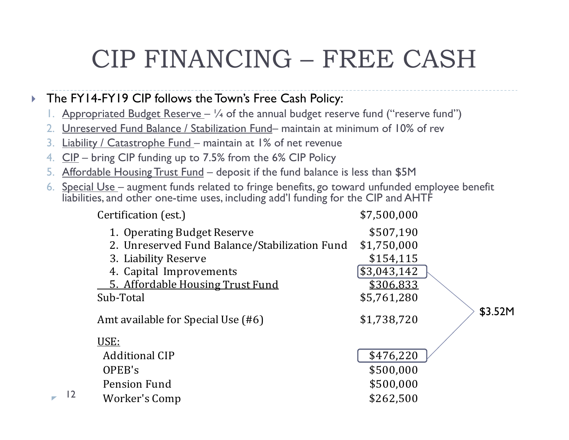# CIP FINANCING – FREE CASH

#### $\blacktriangleright$ The FY14-FY19 CIP follows the Town's Free Cash Policy:

- 1.Appropriated Budget Reserve –  $\frac{1}{4}$  of the annual budget reserve fund ("reserve fund")
- 2. Unreserved Fund Balance / Stabilization Fund– maintain at minimum of 10% of rev
- 3. <u>Liability / Catastrophe Fund –</u> maintain at 1% of net revenue
- 4.CIP – bring CIP funding up to 7.5% from the 6% CIP Policy
- 5. Affordable Housing Trust Fund deposit if the fund balance is less than \$5M
- 6. Special Use – augment funds related to fringe benefits, go toward unfunded employee benefit liabilities, and other one-time uses, including add'l funding for the CIP and AHTF

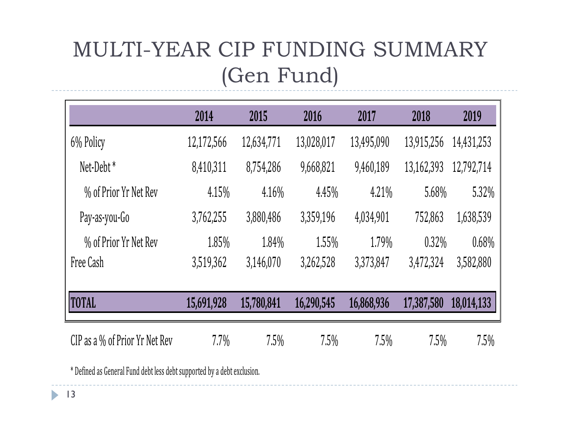### MULTI-YEAR CIP FUNDING SUMMARY (Gen Fund)

|                                   | 2014       | 2015       | 2016       | 2017       | 2018       | 2019       |
|-----------------------------------|------------|------------|------------|------------|------------|------------|
| 6% Policy                         | 12,172,566 | 12,634,771 | 13,028,017 | 13,495,090 | 13,915,256 | 14,431,253 |
| Net-Debt <sup>*</sup>             | 8,410,311  | 8,754,286  | 9,668,821  | 9,460,189  | 13,162,393 | 12,792,714 |
| % of Prior Yr Net Rev             | 4.15%      | 4.16%      | 4.45%      | 4.21%      | 5.68%      | 5.32%      |
| Pay-as-you-Go                     | 3,762,255  | 3,880,486  | 3,359,196  | 4,034,901  | 752,863    | 1,638,539  |
| % of Prior Yr Net Rev             | 1.85%      | 1.84%      | 1.55%      | 1.79%      | $0.32\%$   | 0.68%      |
| Free Cash                         | 3,519,362  | 3,146,070  | 3,262,528  | 3,373,847  | 3,472,324  | 3,582,880  |
| <b>TOTAL</b>                      | 15,691,928 | 15,780,841 | 16,290,545 | 16,868,936 | 17,387,580 | 18,014,133 |
| CIP as a $\%$ of Prior Yr Net Rev | 7.7%       | 7.5%       | 7.5%       | 7.5%       | 7.5%       | 7.5%       |

\* Defined as General Fund debt less debt supported by a debt exclusion.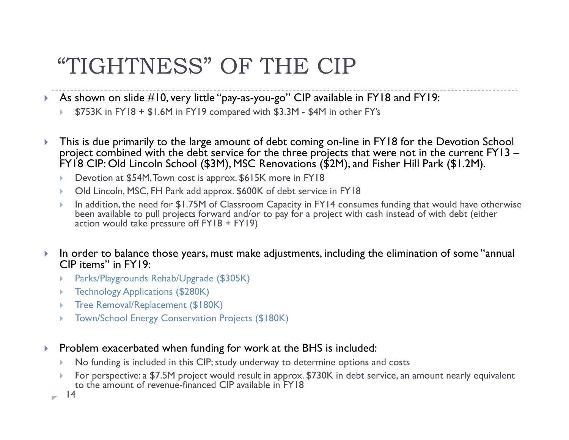#### "TIGHTNESS" OF THE CIP

- $\blacktriangleright$  As shown on slide #10, very little "pay-as-you-go" CIP available in FY18 and FY19:
	- Þ \$753K in FY18 + \$1.6M in FY19 compared with \$3.3M - \$4M in other FY's
- $\blacktriangleright$  This is due primarily to the large amount of debt coming on-line in FY18 for the Devotion School project combined with the debt service for the three projects that were not in the current FY13 – FY18 CIP: Old Lincoln School (\$3M), MSC Renovations (\$2M), and Fisher Hill Park (\$1.2M).
	- Þ Devotion at \$54M, Town cost is approx. \$615K more in FY18
	- Þ Old Lincoln, MSC, FH Park add approx. \$600K of debt service in FY18
	- þ In addition, the need for \$1.75M of Classroom Capacity in FY14 consumes funding that would have otherwise been available to pull projects forward and/or to pay for a project with cash instead of with debt (either action would take pressure off FY18 + FY19)
- $\blacktriangleright$  In order to balance those years, must make adjustments, including the elimination of some "annual CIP items" in FY19:
	- Þ Parks/Playgrounds Rehab/Upgrade (\$305K)
	- Þ. Technology Applications (\$280K)
	- þ Tree Removal/Replacement (\$180K)
	- þ Town/School Energy Conservation Projects (\$180K)
- $\blacktriangleright$  Problem exacerbated when funding for work at the BHS is included:
	- k. No funding is included in this CIP; study underway to determine options and costs
	- þ For perspective: a \$7.5M project would result in approx. \$730K in debt service, an amount nearly equivalent to the amount of revenue-financed CIP available in FY18

14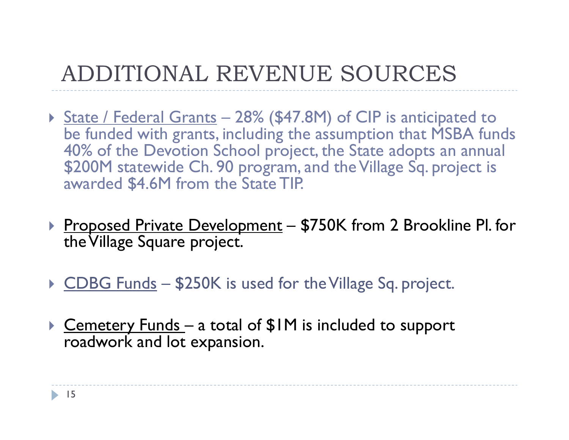## ADDITIONAL REVENUE SOURCES

- ▶ <u>State / Federal Grants</u> 28% (\$47.8M) of CIP is anticipated to be funded with grants, including the assumption that MSBA funds 40% of the Devotion School project, the State adopts an annual \$200M statewide Ch. 90 program, and the Village Sq. project is awarded \$4.6M from the State TIP.
- ▶ Proposed Private Development \$750K from 2 Brookline PI. for the Village Square project.
- ▶ CDBG Funds \$250K is used for the Village Sq. project.
- $\blacktriangleright$ Cemetery Funds – a total of \$1M is included to support roadwork and lot expansion.